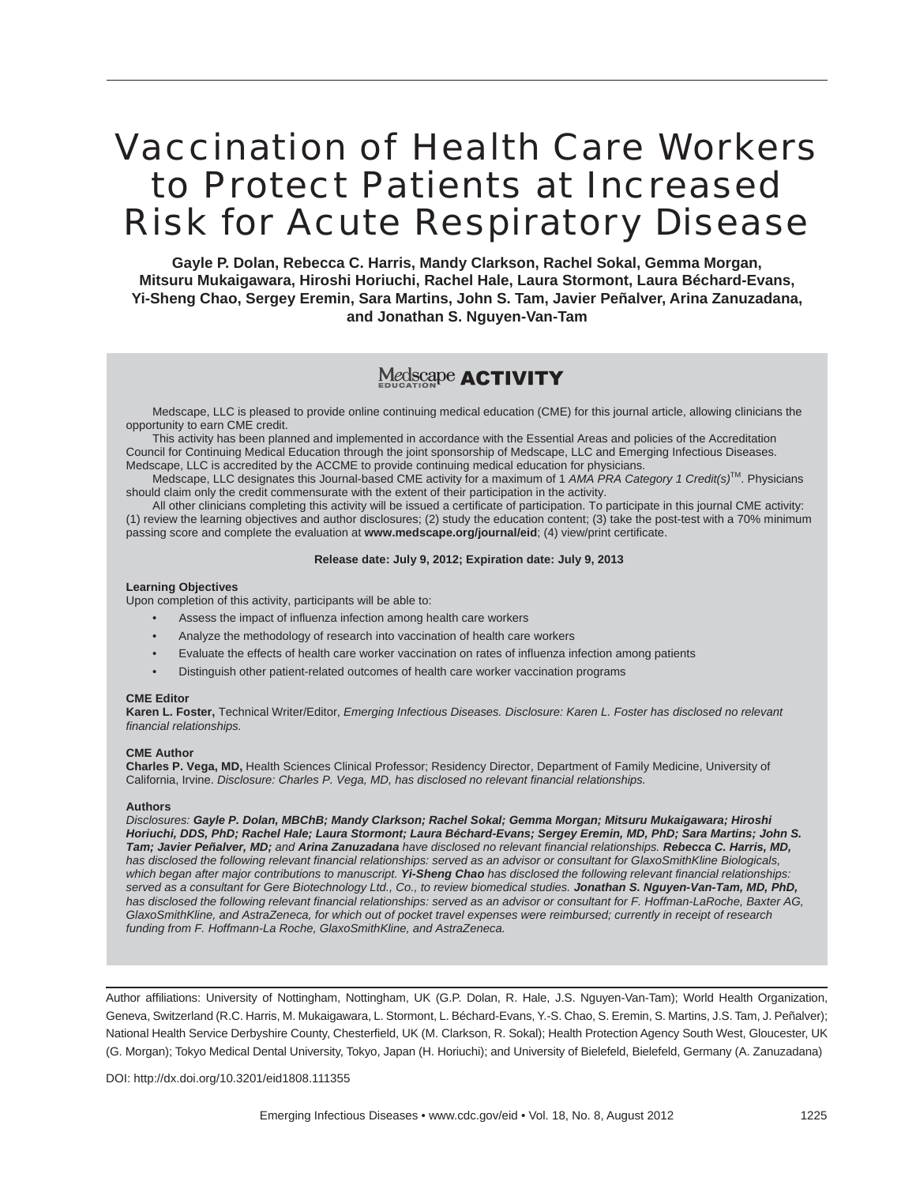# Vaccination of Health Care Workers to Protect Patients at Increased Risk for Acute Respiratory Disease

**Gayle P. Dolan, Rebecca C. Harris, Mandy Clarkson, Rachel Sokal, Gemma Morgan, Mitsuru Mukaigawara, Hiroshi Horiuchi, Rachel Hale, Laura Stormont, Laura Béchard-Evans, Yi-Sheng Chao, Sergey Eremin, Sara Martins, John S. Tam, Javier Peñalver, Arina Zanuzadana, and Jonathan S. Nguyen-Van-Tam**

# Medscape **ACTIVITY**

Medscape, LLC is pleased to provide online continuing medical education (CME) for this journal article, allowing clinicians the opportunity to earn CME credit.

This activity has been planned and implemented in accordance with the Essential Areas and policies of the Accreditation Council for Continuing Medical Education through the joint sponsorship of Medscape, LLC and Emerging Infectious Diseases. Medscape, LLC is accredited by the ACCME to provide continuing medical education for physicians.

Medscape, LLC designates this Journal-based CME activity for a maximum of 1 *AMA PRA Category 1 Credit(s)*TM. Physicians should claim only the credit commensurate with the extent of their participation in the activity.

All other clinicians completing this activity will be issued a certificate of participation. To participate in this journal CME activity: (1) review the learning objectives and author disclosures; (2) study the education content; (3) take the post-test with a 70% minimum passing score and complete the evaluation at **www.medscape.org/journal/eid**; (4) view/print certificate.

#### **Release date: July 9, 2012; Expiration date: July 9, 2013**

#### **Learning Objectives**

Upon completion of this activity, participants will be able to:

- Assess the impact of influenza infection among health care workers
- Analyze the methodology of research into vaccination of health care workers
- Evaluate the effects of health care worker vaccination on rates of influenza infection among patients
- Distinguish other patient-related outcomes of health care worker vaccination programs

#### **CME Editor**

**Karen L. Foster,** Technical Writer/Editor, *Emerging Infectious Diseases. Disclosure: Karen L. Foster has disclosed no relevant financial relationships.* 

#### **CME Author**

**Charles P. Vega, MD,** Health Sciences Clinical Professor; Residency Director, Department of Family Medicine, University of California, Irvine. *Disclosure: Charles P. Vega, MD, has disclosed no relevant financial relationships.* 

#### **Authors**

*Disclosures: Gayle P. Dolan, MBChB; Mandy Clarkson; Rachel Sokal; Gemma Morgan; Mitsuru Mukaigawara; Hiroshi Horiuchi, DDS, PhD; Rachel Hale; Laura Stormont; Laura Béchard-Evans; Sergey Eremin, MD, PhD; Sara Martins; John S. Tam; Javier Peñalver, MD; and Arina Zanuzadana have disclosed no relevant financial relationships. Rebecca C. Harris, MD, has disclosed the following relevant financial relationships: served as an advisor or consultant for GlaxoSmithKline Biologicals, which began after major contributions to manuscript. Yi-Sheng Chao has disclosed the following relevant financial relationships: served as a consultant for Gere Biotechnology Ltd., Co., to review biomedical studies. Jonathan S. Nguyen-Van-Tam, MD, PhD, has disclosed the following relevant financial relationships: served as an advisor or consultant for F. Hoffman-LaRoche, Baxter AG, GlaxoSmithKline, and AstraZeneca, for which out of pocket travel expenses were reimbursed; currently in receipt of research funding from F. Hoffmann-La Roche, GlaxoSmithKline, and AstraZeneca.* 

Author affiliations: University of Nottingham, Nottingham, UK (G.P. Dolan, R. Hale, J.S. Nguyen-Van-Tam); World Health Organization, Geneva, Switzerland (R.C. Harris, M. Mukaigawara, L. Stormont, L. Béchard-Evans, Y.-S. Chao, S. Eremin, S. Martins, J.S. Tam, J. Peñalver); National Health Service Derbyshire County, Chesterfield, UK (M. Clarkson, R. Sokal); Health Protection Agency South West, Gloucester, UK (G. Morgan); Tokyo Medical Dental University, Tokyo, Japan (H. Horiuchi); and University of Bielefeld, Bielefeld, Germany (A. Zanuzadana)

DOI: http://dx.doi.org/10.3201/eid1808.111355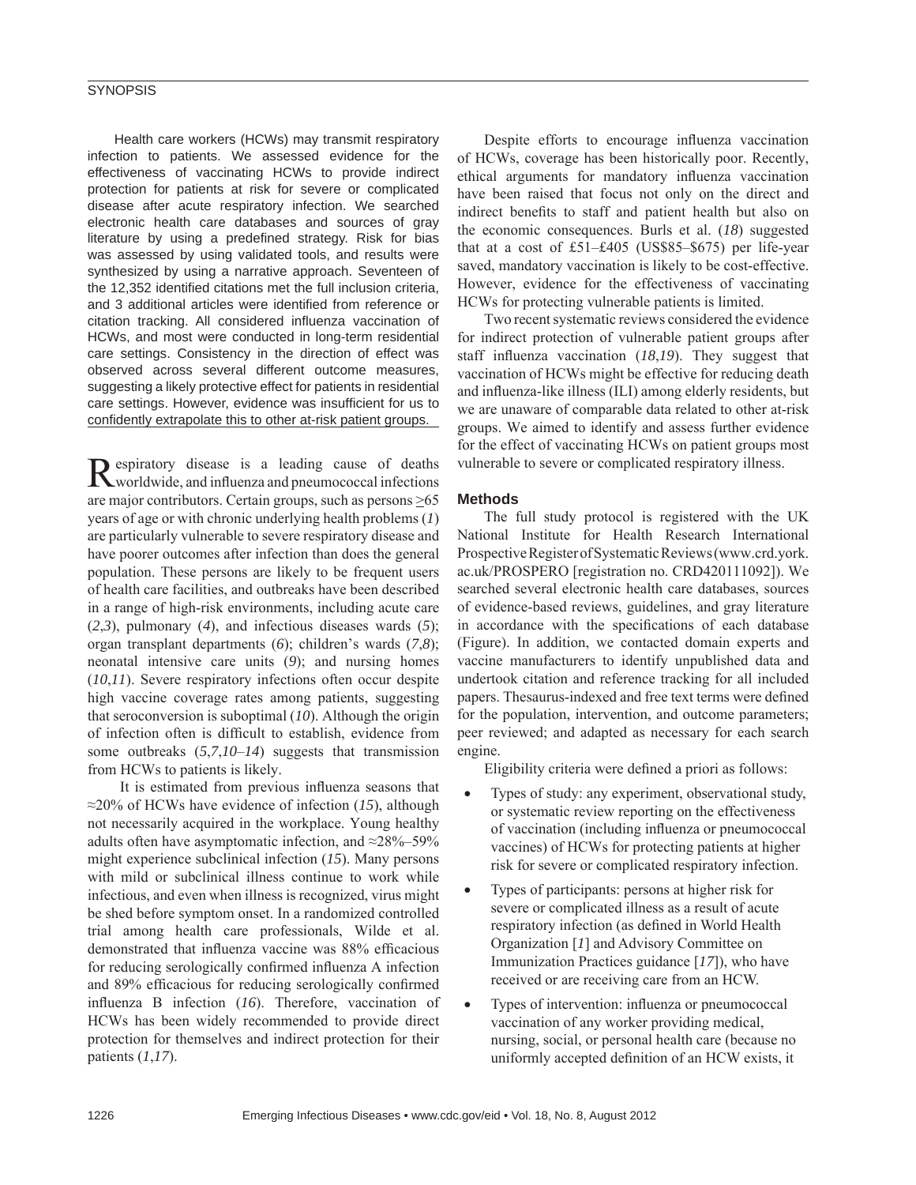Health care workers (HCWs) may transmit respiratory infection to patients. We assessed evidence for the effectiveness of vaccinating HCWs to provide indirect protection for patients at risk for severe or complicated disease after acute respiratory infection. We searched electronic health care databases and sources of gray literature by using a predefined strategy. Risk for bias was assessed by using validated tools, and results were synthesized by using a narrative approach. Seventeen of the 12,352 identified citations met the full inclusion criteria, and 3 additional articles were identified from reference or citation tracking. All considered influenza vaccination of HCWs, and most were conducted in long-term residential care settings. Consistency in the direction of effect was observed across several different outcome measures, suggesting a likely protective effect for patients in residential care settings. However, evidence was insufficient for us to confidently extrapolate this to other at-risk patient groups.

Respiratory disease is a leading cause of deaths worldwide, and influenza and pneumococcal infections are major contributors. Certain groups, such as persons  $\geq 65$ years of age or with chronic underlying health problems (*1*) are particularly vulnerable to severe respiratory disease and have poorer outcomes after infection than does the general population. These persons are likely to be frequent users of health care facilities, and outbreaks have been described in a range of high-risk environments, including acute care (*2*,*3*), pulmonary (*4*), and infectious diseases wards (*5*); organ transplant departments (*6*); children's wards (*7*,*8*); neonatal intensive care units (*9*); and nursing homes (*10*,*11*). Severe respiratory infections often occur despite high vaccine coverage rates among patients, suggesting that seroconversion is suboptimal (*10*). Although the origin of infection often is difficult to establish, evidence from some outbreaks (*5*,*7*,*10*–*14*) suggests that transmission from HCWs to patients is likely.

It is estimated from previous influenza seasons that ≈20% of HCWs have evidence of infection (*15*), although not necessarily acquired in the workplace. Young healthy adults often have asymptomatic infection, and  $\approx$ 28%–59% might experience subclinical infection (*15*). Many persons with mild or subclinical illness continue to work while infectious, and even when illness is recognized, virus might be shed before symptom onset. In a randomized controlled trial among health care professionals, Wilde et al. demonstrated that influenza vaccine was 88% efficacious for reducing serologically confirmed influenza A infection and 89% efficacious for reducing serologically confirmed influenza B infection (16). Therefore, vaccination of HCWs has been widely recommended to provide direct protection for themselves and indirect protection for their patients (*1*,*17*).

Despite efforts to encourage influenza vaccination of HCWs, coverage has been historically poor. Recently, ethical arguments for mandatory influenza vaccination have been raised that focus not only on the direct and indirect benefits to staff and patient health but also on the economic consequences. Burls et al. (*18*) suggested that at a cost of £51–£405 (US\$85–\$675) per life-year saved, mandatory vaccination is likely to be cost-effective. However, evidence for the effectiveness of vaccinating HCWs for protecting vulnerable patients is limited.

Two recent systematic reviews considered the evidence for indirect protection of vulnerable patient groups after staff influenza vaccination (18,19). They suggest that vaccination of HCWs might be effective for reducing death and influenza-like illness (ILI) among elderly residents, but we are unaware of comparable data related to other at-risk groups. We aimed to identify and assess further evidence for the effect of vaccinating HCWs on patient groups most vulnerable to severe or complicated respiratory illness.

### **Methods**

The full study protocol is registered with the UK National Institute for Health Research International Prospective Register of Systematic Reviews (www.crd.york. ac.uk/PROSPERO [registration no. CRD420111092]). We searched several electronic health care databases, sources of evidence-based reviews, guidelines, and gray literature in accordance with the specifications of each database (Figure). In addition, we contacted domain experts and vaccine manufacturers to identify unpublished data and undertook citation and reference tracking for all included papers. Thesaurus-indexed and free text terms were defined for the population, intervention, and outcome parameters; peer reviewed; and adapted as necessary for each search engine.

Eligibility criteria were defined a priori as follows:

- Types of study: any experiment, observational study, or systematic review reporting on the effectiveness of vaccination (including influenza or pneumococcal vaccines) of HCWs for protecting patients at higher risk for severe or complicated respiratory infection.
- Types of participants: persons at higher risk for severe or complicated illness as a result of acute respiratory infection (as defined in World Health Organization [*1*] and Advisory Committee on Immunization Practices guidance [*17*]), who have received or are receiving care from an HCW.
- Types of intervention: influenza or pneumococcal vaccination of any worker providing medical, nursing, social, or personal health care (because no uniformly accepted definition of an HCW exists, it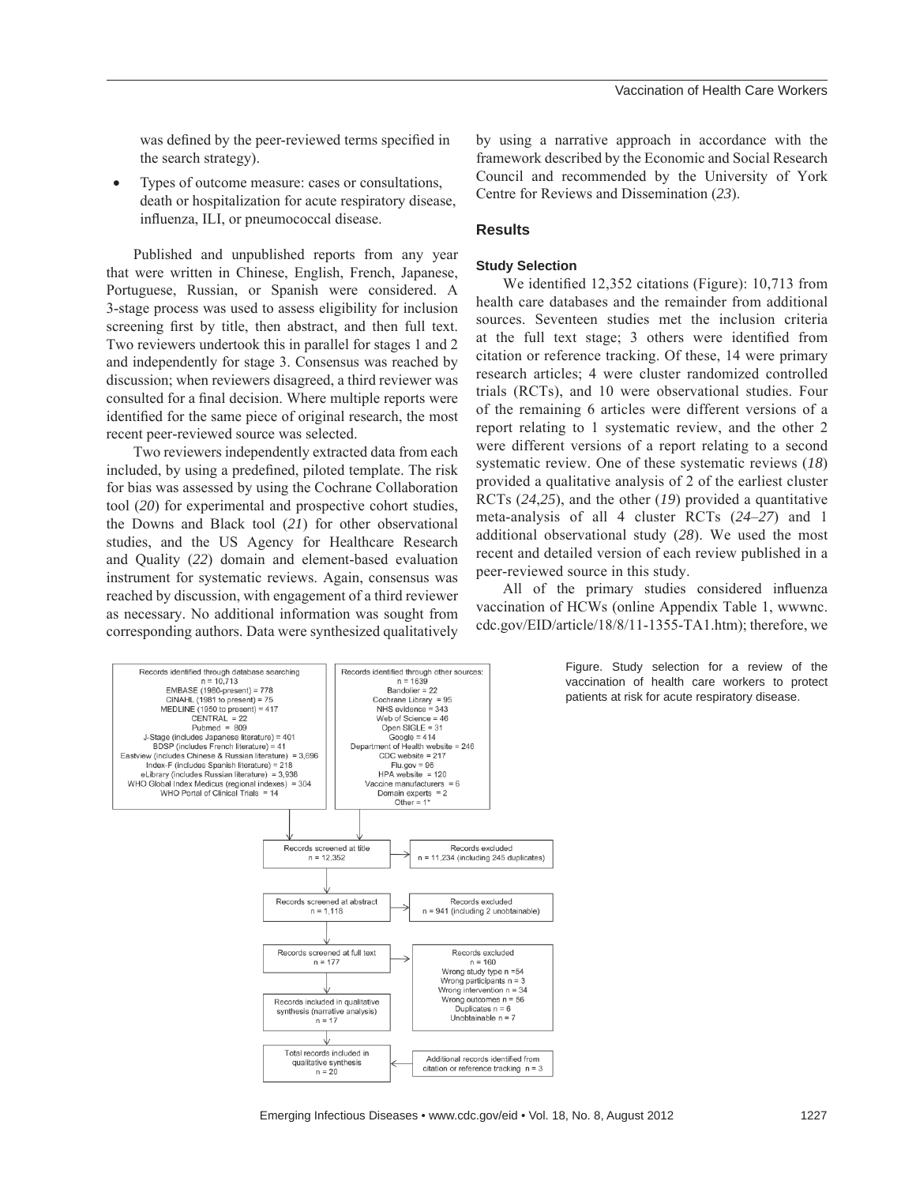was defined by the peer-reviewed terms specified in the search strategy).

• Types of outcome measure: cases or consultations, death or hospitalization for acute respiratory disease, influenza, ILI, or pneumococcal disease.

Published and unpublished reports from any year that were written in Chinese, English, French, Japanese, Portuguese, Russian, or Spanish were considered. A 3-stage process was used to assess eligibility for inclusion screening first by title, then abstract, and then full text. Two reviewers undertook this in parallel for stages 1 and 2 and independently for stage 3. Consensus was reached by discussion; when reviewers disagreed, a third reviewer was consulted for a final decision. Where multiple reports were identified for the same piece of original research, the most recent peer-reviewed source was selected.

Two reviewers independently extracted data from each included, by using a predefined, piloted template. The risk for bias was assessed by using the Cochrane Collaboration tool (*20*) for experimental and prospective cohort studies, the Downs and Black tool (*21*) for other observational studies, and the US Agency for Healthcare Research and Quality (*22*) domain and element-based evaluation instrument for systematic reviews. Again, consensus was reached by discussion, with engagement of a third reviewer as necessary. No additional information was sought from corresponding authors. Data were synthesized qualitatively by using a narrative approach in accordance with the framework described by the Economic and Social Research Council and recommended by the University of York Centre for Reviews and Dissemination (*23*).

# **Results**

# **Study Selection**

We identified  $12,352$  citations (Figure):  $10,713$  from health care databases and the remainder from additional sources. Seventeen studies met the inclusion criteria at the full text stage; 3 others were identified from citation or reference tracking. Of these, 14 were primary research articles; 4 were cluster randomized controlled trials (RCTs), and 10 were observational studies. Four of the remaining 6 articles were different versions of a report relating to 1 systematic review, and the other 2 were different versions of a report relating to a second systematic review. One of these systematic reviews (*18*) provided a qualitative analysis of 2 of the earliest cluster RCTs (*24*,*25*), and the other (*19*) provided a quantitative meta-analysis of all 4 cluster RCTs (*24*–*27*) and 1 additional observational study (*28*). We used the most recent and detailed version of each review published in a peer-reviewed source in this study.

All of the primary studies considered influenza vaccination of HCWs (online Appendix Table 1, wwwnc. cdc.gov/EID/article/18/8/11-1355-TA1.htm); therefore, we



Figure. Study selection for a review of the vaccination of health care workers to protect patients at risk for acute respiratory disease.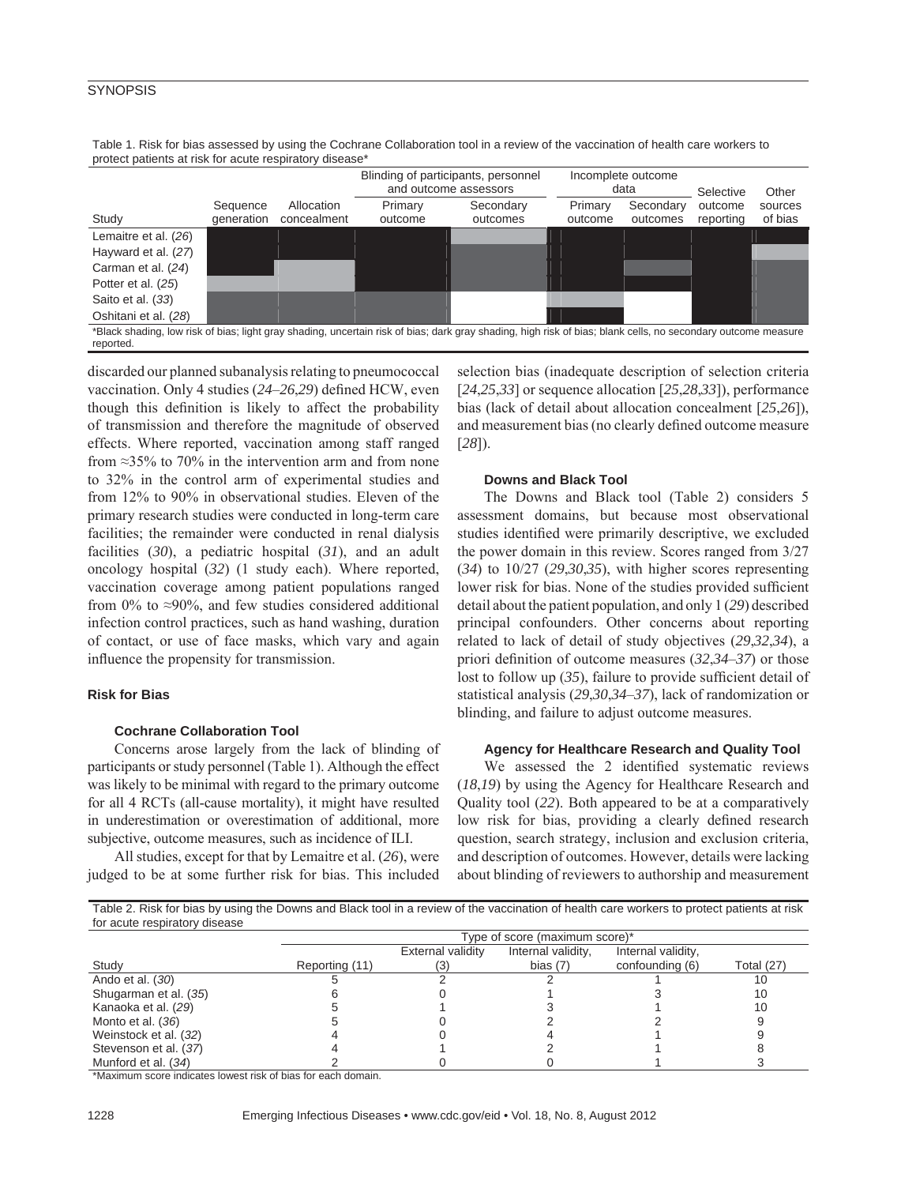Table 1. Risk for bias assessed by using the Cochrane Collaboration tool in a review of the vaccination of health care workers to protect patients at risk for acute respiratory disease\*



discarded our planned subanalysis relating to pneumococcal vaccination. Only 4 studies (24–26,29) defined HCW, even though this definition is likely to affect the probability of transmission and therefore the magnitude of observed effects. Where reported, vaccination among staff ranged from ≈35% to 70% in the intervention arm and from none to 32% in the control arm of experimental studies and from 12% to 90% in observational studies. Eleven of the primary research studies were conducted in long-term care facilities; the remainder were conducted in renal dialysis facilities (*30*), a pediatric hospital (*31*), and an adult oncology hospital (*32*) (1 study each). Where reported, vaccination coverage among patient populations ranged from 0% to  $\approx$ 90%, and few studies considered additional infection control practices, such as hand washing, duration of contact, or use of face masks, which vary and again influence the propensity for transmission.

#### **Risk for Bias**

#### **Cochrane Collaboration Tool**

Concerns arose largely from the lack of blinding of participants or study personnel (Table 1). Although the effect was likely to be minimal with regard to the primary outcome for all 4 RCTs (all-cause mortality), it might have resulted in underestimation or overestimation of additional, more subjective, outcome measures, such as incidence of ILI.

All studies, except for that by Lemaitre et al. (*26*), were judged to be at some further risk for bias. This included

selection bias (inadequate description of selection criteria [*24*,*25*,*33*] or sequence allocation [*25*,*28*,*33*]), performance bias (lack of detail about allocation concealment [*25*,*26*]), and measurement bias (no clearly defined outcome measure [*28*]).

#### **Downs and Black Tool**

The Downs and Black tool (Table 2) considers 5 assessment domains, but because most observational studies identified were primarily descriptive, we excluded the power domain in this review. Scores ranged from 3/27 (*34*) to 10/27 (*29*,*30*,*35*), with higher scores representing lower risk for bias. None of the studies provided sufficient detail about the patient population, and only 1 (*29*) described principal confounders. Other concerns about reporting related to lack of detail of study objectives (*29*,*32*,*34*), a priori definition of outcome measures  $(32,34-37)$  or those lost to follow up (35), failure to provide sufficient detail of statistical analysis (*29*,*30*,*34*–*37*), lack of randomization or blinding, and failure to adjust outcome measures.

#### **Agency for Healthcare Research and Quality Tool**

We assessed the 2 identified systematic reviews (*18*,*19*) by using the Agency for Healthcare Research and Quality tool (*22*). Both appeared to be at a comparatively low risk for bias, providing a clearly defined research question, search strategy, inclusion and exclusion criteria, and description of outcomes. However, details were lacking about blinding of reviewers to authorship and measurement

Table 2. Risk for bias by using the Downs and Black tool in a review of the vaccination of health care workers to protect patients at risk for acute respiratory disease

|                       |                | Type of score (maximum score)* |                    |                    |                   |
|-----------------------|----------------|--------------------------------|--------------------|--------------------|-------------------|
|                       |                | <b>External validity</b>       | Internal validity, | Internal validity, |                   |
| Study                 | Reporting (11) |                                | bias $(7)$         | confounding (6)    | <b>Total (27)</b> |
| Ando et al. (30)      |                |                                |                    |                    | 10                |
| Shugarman et al. (35) |                |                                |                    |                    | 10                |
| Kanaoka et al. (29)   |                |                                |                    |                    | 10                |
| Monto et al. (36)     |                |                                |                    |                    |                   |
| Weinstock et al. (32) |                |                                |                    |                    |                   |
| Stevenson et al. (37) |                |                                |                    |                    |                   |
| Munford et al. (34)   |                |                                |                    |                    |                   |

\*Maximum score indicates lowest risk of bias for each domain.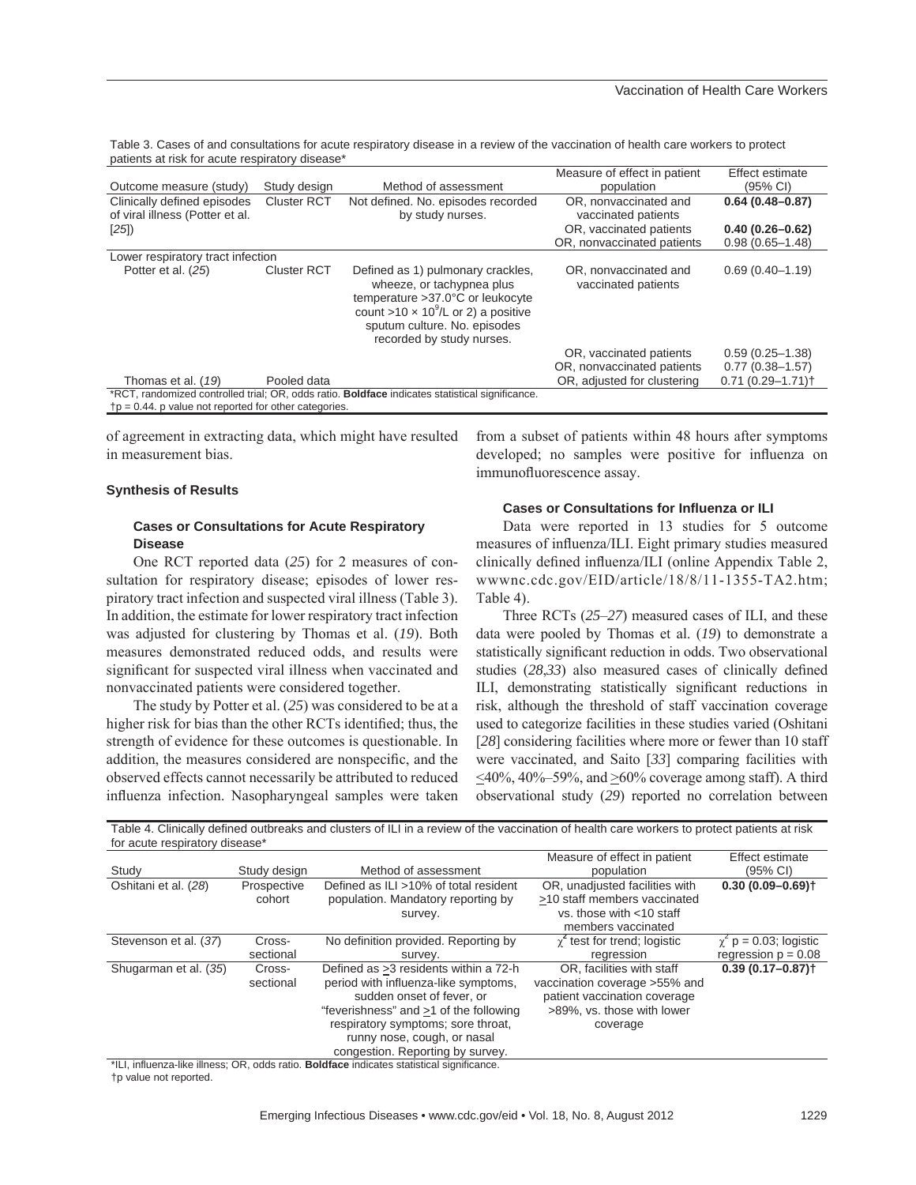Table 3. Cases of and consultations for acute respiratory disease in a review of the vaccination of health care workers to protect patients at risk for acute respiratory disease\*

|                                                          |                    |                                                                                                                                                                                                                            | Measure of effect in patient                 | Effect estimate                  |
|----------------------------------------------------------|--------------------|----------------------------------------------------------------------------------------------------------------------------------------------------------------------------------------------------------------------------|----------------------------------------------|----------------------------------|
| Outcome measure (study)                                  | Study design       | Method of assessment                                                                                                                                                                                                       | population                                   | $(95% \text{ Cl})$               |
| Clinically defined episodes                              | <b>Cluster RCT</b> | Not defined. No. episodes recorded                                                                                                                                                                                         | OR, nonvaccinated and                        | $0.64(0.48 - 0.87)$              |
| of viral illness (Potter et al.                          |                    | by study nurses.                                                                                                                                                                                                           | vaccinated patients                          |                                  |
| [25]                                                     |                    |                                                                                                                                                                                                                            | OR, vaccinated patients                      | $0.40(0.26 - 0.62)$              |
|                                                          |                    |                                                                                                                                                                                                                            | OR, nonvaccinated patients                   | $0.98(0.65 - 1.48)$              |
| Lower respiratory tract infection                        |                    |                                                                                                                                                                                                                            |                                              |                                  |
| Potter et al. (25)                                       | Cluster RCT        | Defined as 1) pulmonary crackles,<br>wheeze, or tachypnea plus<br>temperature > 37.0°C or leukocyte<br>count >10 $\times$ 10 <sup>9</sup> /L or 2) a positive<br>sputum culture. No. episodes<br>recorded by study nurses. | OR, nonvaccinated and<br>vaccinated patients | $0.69(0.40 - 1.19)$              |
|                                                          |                    |                                                                                                                                                                                                                            | OR, vaccinated patients                      | $0.59(0.25 - 1.38)$              |
|                                                          |                    |                                                                                                                                                                                                                            | OR, nonvaccinated patients                   | $0.77(0.38 - 1.57)$              |
| Thomas et al. (19)                                       | Pooled data        |                                                                                                                                                                                                                            | OR, adjusted for clustering                  | $0.71(0.29 - 1.71)$ <sup>+</sup> |
|                                                          |                    | *RCT, randomized controlled trial; OR, odds ratio. Boldface indicates statistical significance.                                                                                                                            |                                              |                                  |
| $tp = 0.44$ . p value not reported for other categories. |                    |                                                                                                                                                                                                                            |                                              |                                  |

of agreement in extracting data, which might have resulted in measurement bias.

#### **Synthesis of Results**

# **Cases or Consultations for Acute Respiratory Disease**

One RCT reported data (*25*) for 2 measures of consultation for respiratory disease; episodes of lower respiratory tract infection and suspected viral illness (Table 3). In addition, the estimate for lower respiratory tract infection was adjusted for clustering by Thomas et al. (*19*). Both measures demonstrated reduced odds, and results were significant for suspected viral illness when vaccinated and nonvaccinated patients were considered together.

The study by Potter et al. (*25*) was considered to be at a higher risk for bias than the other RCTs identified; thus, the strength of evidence for these outcomes is questionable. In addition, the measures considered are nonspecific, and the observed effects cannot necessarily be attributed to reduced influenza infection. Nasopharyngeal samples were taken

# from a subset of patients within 48 hours after symptoms developed; no samples were positive for influenza on immunofluorescence assay.

#### **Cases or Consultations for Infl uenza or ILI**

Data were reported in 13 studies for 5 outcome measures of influenza/ILI. Eight primary studies measured clinically defined influenza/ILI (online Appendix Table 2, wwwnc.cdc.gov/EID/article/18/8/11-1355-TA2.htm; Table 4).

Three RCTs (*25*–*27*) measured cases of ILI, and these data were pooled by Thomas et al. (*19*) to demonstrate a statistically significant reduction in odds. Two observational studies (28,33) also measured cases of clinically defined ILI, demonstrating statistically significant reductions in risk, although the threshold of staff vaccination coverage used to categorize facilities in these studies varied (Oshitani [28] considering facilities where more or fewer than 10 staff were vaccinated, and Saito [*33*] comparing facilities with  $\langle 40\%, 40\% - 59\%, \text{ and } 50\%$  coverage among staff). A third observational study (*29*) reported no correlation between

| for acute respiratory disease* |                       |                                                                                                                                                                                                                                                               |                                                                                                                                      |                                                      |
|--------------------------------|-----------------------|---------------------------------------------------------------------------------------------------------------------------------------------------------------------------------------------------------------------------------------------------------------|--------------------------------------------------------------------------------------------------------------------------------------|------------------------------------------------------|
| Study                          | Study design          | Method of assessment                                                                                                                                                                                                                                          | Measure of effect in patient<br>population                                                                                           | Effect estimate<br>(95% CI)                          |
| Oshitani et al. (28)           | Prospective<br>cohort | Defined as ILI >10% of total resident<br>population. Mandatory reporting by<br>survey.                                                                                                                                                                        | OR, unadjusted facilities with<br>>10 staff members vaccinated<br>vs. those with <10 staff<br>members vaccinated                     | $0.30(0.09 - 0.69)$ <sup>+</sup>                     |
| Stevenson et al. (37)          | Cross-<br>sectional   | No definition provided. Reporting by<br>survey.                                                                                                                                                                                                               | $\gamma^2$ test for trend; logistic<br>regression                                                                                    | $\chi^2$ p = 0.03; logistic<br>regression $p = 0.08$ |
| Shugarman et al. (35)          | Cross-<br>sectional   | Defined as >3 residents within a 72-h<br>period with influenza-like symptoms,<br>sudden onset of fever, or<br>"feverishness" and >1 of the following<br>respiratory symptoms; sore throat,<br>runny nose, cough, or nasal<br>congestion. Reporting by survey. | OR, facilities with staff<br>vaccination coverage >55% and<br>patient vaccination coverage<br>>89%, vs. those with lower<br>coverage | $0.39(0.17 - 0.87)$ <sup>+</sup>                     |

Table 4. Clinically defined outbreaks and clusters of ILI in a review of the vaccination of health care workers to protect patients at risk

\*ILI, influenza-like illness; OR, odds ratio. **Boldface** indicates statistical significance.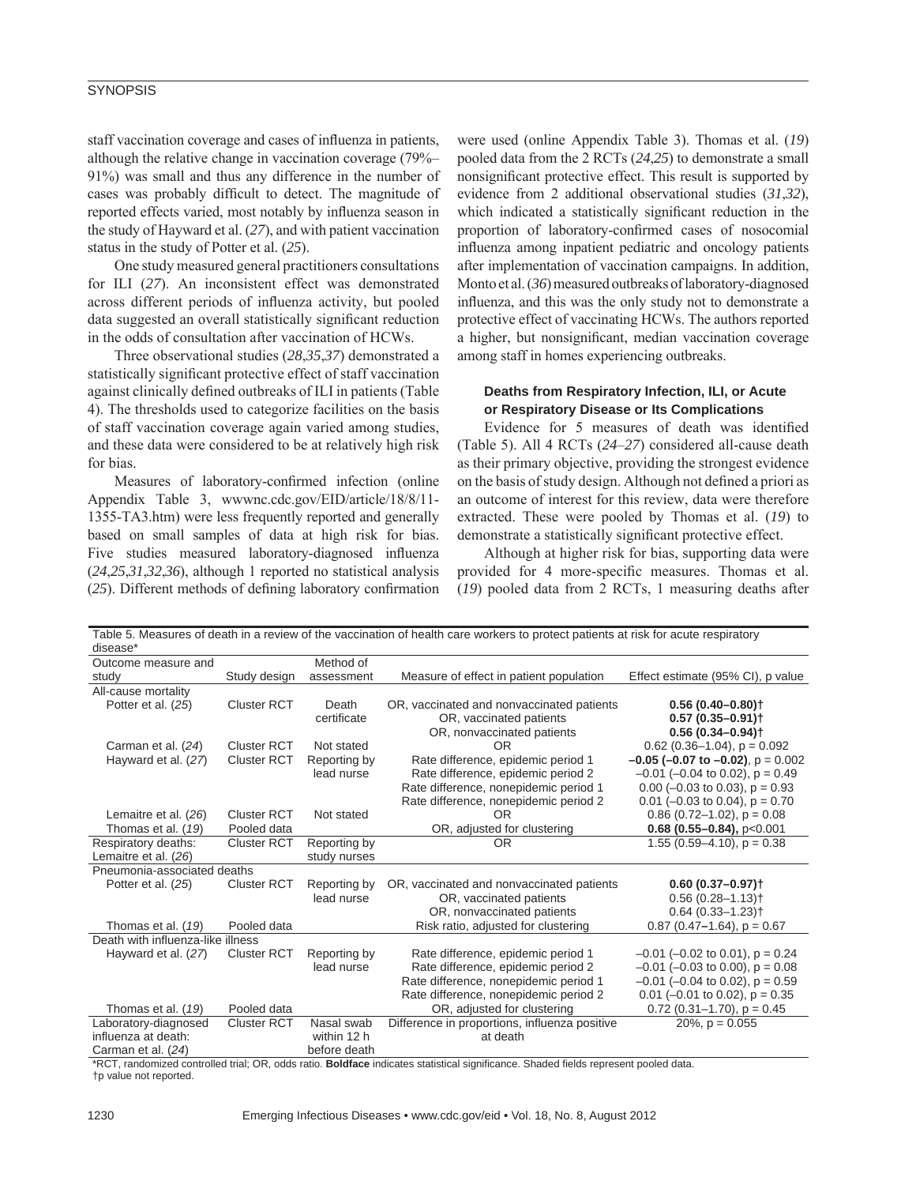staff vaccination coverage and cases of influenza in patients, although the relative change in vaccination coverage (79%– 91%) was small and thus any difference in the number of cases was probably difficult to detect. The magnitude of reported effects varied, most notably by influenza season in the study of Hayward et al. (*27*), and with patient vaccination status in the study of Potter et al. (*25*).

One study measured general practitioners consultations for ILI (*27*). An inconsistent effect was demonstrated across different periods of influenza activity, but pooled data suggested an overall statistically significant reduction in the odds of consultation after vaccination of HCWs.

Three observational studies (*28*,*35*,*37*) demonstrated a statistically significant protective effect of staff vaccination against clinically defined outbreaks of ILI in patients (Table 4). The thresholds used to categorize facilities on the basis of staff vaccination coverage again varied among studies, and these data were considered to be at relatively high risk for bias.

Measures of laboratory-confirmed infection (online Appendix Table 3, wwwnc.cdc.gov/EID/article/18/8/11- 1355-TA3.htm) were less frequently reported and generally based on small samples of data at high risk for bias. Five studies measured laboratory-diagnosed influenza (*24*,*25*,*31*,*32*,*36*), although 1 reported no statistical analysis (25). Different methods of defining laboratory confirmation

were used (online Appendix Table 3). Thomas et al. (*19*) pooled data from the 2 RCTs (*24*,*25*) to demonstrate a small nonsignificant protective effect. This result is supported by evidence from 2 additional observational studies (*31*,*32*), which indicated a statistically significant reduction in the proportion of laboratory-confirmed cases of nosocomial influenza among inpatient pediatric and oncology patients after implementation of vaccination campaigns. In addition, Monto et al. (*36*) measured outbreaks of laboratory-diagnosed influenza, and this was the only study not to demonstrate a protective effect of vaccinating HCWs. The authors reported a higher, but nonsignificant, median vaccination coverage among staff in homes experiencing outbreaks.

# **Deaths from Respiratory Infection, ILI, or Acute or Respiratory Disease or Its Complications**

Evidence for 5 measures of death was identified (Table 5). All 4 RCTs (*24*–*27*) considered all-cause death as their primary objective, providing the strongest evidence on the basis of study design. Although not defined a priori as an outcome of interest for this review, data were therefore extracted. These were pooled by Thomas et al. (*19*) to demonstrate a statistically significant protective effect.

Although at higher risk for bias, supporting data were provided for 4 more-specific measures. Thomas et al. (*19*) pooled data from 2 RCTs, 1 measuring deaths after

| Table 5. Measures of death in a review of the vaccination of health care workers to protect patients at risk for acute respiratory |                    |              |                                               |                                        |
|------------------------------------------------------------------------------------------------------------------------------------|--------------------|--------------|-----------------------------------------------|----------------------------------------|
| disease*                                                                                                                           |                    |              |                                               |                                        |
| Outcome measure and                                                                                                                |                    | Method of    |                                               |                                        |
| study                                                                                                                              | Study design       | assessment   | Measure of effect in patient population       | Effect estimate (95% CI), p value      |
| All-cause mortality                                                                                                                |                    |              |                                               |                                        |
| Potter et al. (25)                                                                                                                 | <b>Cluster RCT</b> | Death        | OR, vaccinated and nonvaccinated patients     | $0.56(0.40 - 0.80)$ <sup>+</sup>       |
|                                                                                                                                    |                    | certificate  | OR, vaccinated patients                       | $0.57(0.35 - 0.91)$                    |
|                                                                                                                                    |                    |              | OR, nonvaccinated patients                    | $0.56(0.34 - 0.94)$ <sup>+</sup>       |
| Carman et al. (24)                                                                                                                 | <b>Cluster RCT</b> | Not stated   | 0R                                            | $0.62$ (0.36-1.04), $p = 0.092$        |
| Hayward et al. (27)                                                                                                                | <b>Cluster RCT</b> | Reporting by | Rate difference, epidemic period 1            | $-0.05$ (-0.07 to -0.02), $p = 0.002$  |
|                                                                                                                                    |                    | lead nurse   | Rate difference, epidemic period 2            | $-0.01$ ( $-0.04$ to 0.02), $p = 0.49$ |
|                                                                                                                                    |                    |              | Rate difference, nonepidemic period 1         | $0.00$ (-0.03 to 0.03), $p = 0.93$     |
|                                                                                                                                    |                    |              | Rate difference, nonepidemic period 2         | 0.01 (-0.03 to 0.04), $p = 0.70$       |
| Lemaitre et al. (26)                                                                                                               | <b>Cluster RCT</b> | Not stated   | <b>OR</b>                                     | $0.86$ (0.72–1.02), $p = 0.08$         |
| Thomas et al. (19)                                                                                                                 | Pooled data        |              | OR, adjusted for clustering                   | 0.68 (0.55-0.84), $p<0.001$            |
| Respiratory deaths:                                                                                                                | <b>Cluster RCT</b> | Reporting by | <b>OR</b>                                     | $1.55(0.59-4.10)$ , $p = 0.38$         |
| Lemaitre et al. (26)                                                                                                               |                    | study nurses |                                               |                                        |
| Pneumonia-associated deaths                                                                                                        |                    |              |                                               |                                        |
| Potter et al. (25)                                                                                                                 | <b>Cluster RCT</b> | Reporting by | OR, vaccinated and nonvaccinated patients     | $0.60(0.37 - 0.97)$ <sup>+</sup>       |
|                                                                                                                                    |                    | lead nurse   | OR, vaccinated patients                       | $0.56(0.28 - 1.13)$                    |
|                                                                                                                                    |                    |              | OR, nonvaccinated patients                    | $0.64(0.33 - 1.23)$ <sup>+</sup>       |
| Thomas et al. (19)                                                                                                                 | Pooled data        |              | Risk ratio, adjusted for clustering           | $0.87$ (0.47–1.64), $p = 0.67$         |
| Death with influenza-like illness                                                                                                  |                    |              |                                               |                                        |
| Hayward et al. (27)                                                                                                                | <b>Cluster RCT</b> | Reporting by | Rate difference, epidemic period 1            | $-0.01$ ( $-0.02$ to 0.01), $p = 0.24$ |
|                                                                                                                                    |                    | lead nurse   | Rate difference, epidemic period 2            | $-0.01$ ( $-0.03$ to 0.00), $p = 0.08$ |
|                                                                                                                                    |                    |              | Rate difference, nonepidemic period 1         | $-0.01$ ( $-0.04$ to 0.02), p = 0.59   |
|                                                                                                                                    |                    |              | Rate difference, nonepidemic period 2         | 0.01 (-0.01 to 0.02), $p = 0.35$       |
| Thomas et al. (19)                                                                                                                 | Pooled data        |              | OR, adjusted for clustering                   | $0.72$ (0.31–1.70), $p = 0.45$         |
| Laboratory-diagnosed                                                                                                               | <b>Cluster RCT</b> | Nasal swab   | Difference in proportions, influenza positive | $20\%$ , $p = 0.055$                   |
| influenza at death:                                                                                                                |                    | within 12 h  | at death                                      |                                        |
| Carman et al. (24)                                                                                                                 |                    | before death |                                               |                                        |

\*RCT, randomized controlled trial; OR, odds ratio. **Boldface** indicates statistical significance. Shaded fields represent pooled data. †p value not reported.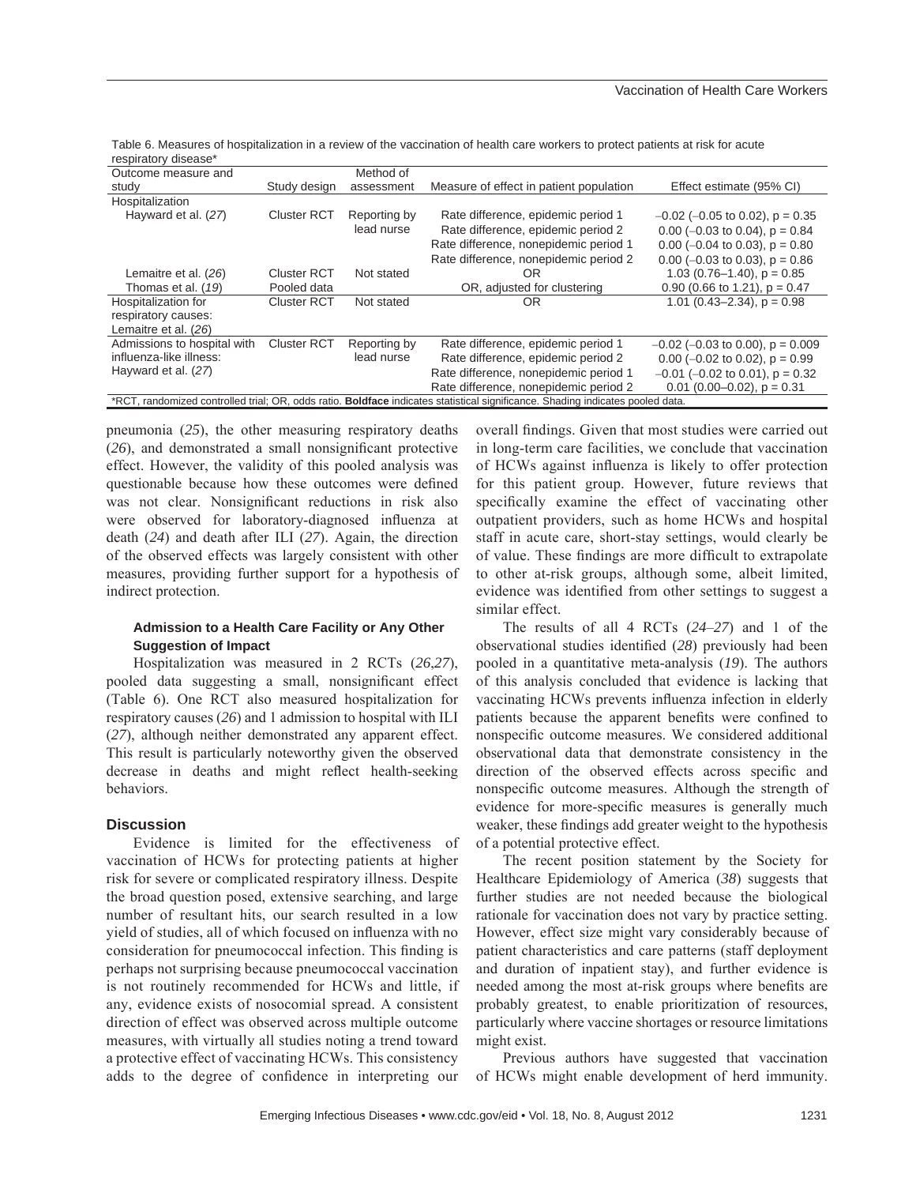Table 6. Measures of hospitalization in a review of the vaccination of health care workers to protect patients at risk for acute respiratory disease?

| Outcome measure and                                                                                                            |                    | Method of    |                                         |                                         |
|--------------------------------------------------------------------------------------------------------------------------------|--------------------|--------------|-----------------------------------------|-----------------------------------------|
| study                                                                                                                          | Study design       | assessment   | Measure of effect in patient population | Effect estimate (95% CI)                |
| Hospitalization                                                                                                                |                    |              |                                         |                                         |
| Hayward et al. (27)                                                                                                            | <b>Cluster RCT</b> | Reporting by | Rate difference, epidemic period 1      | $-0.02$ ( $-0.05$ to 0.02), p = 0.35    |
|                                                                                                                                |                    | lead nurse   | Rate difference, epidemic period 2      | 0.00 (-0.03 to 0.04), $p = 0.84$        |
|                                                                                                                                |                    |              | Rate difference, nonepidemic period 1   | 0.00 (-0.04 to 0.03), $p = 0.80$        |
|                                                                                                                                |                    |              | Rate difference, nonepidemic period 2   | 0.00 (-0.03 to 0.03), $p = 0.86$        |
| Lemaitre et al. (26)                                                                                                           | <b>Cluster RCT</b> | Not stated   | ΟR                                      | $1.03(0.76-1.40)$ , $p = 0.85$          |
| Thomas et al. (19)                                                                                                             | Pooled data        |              | OR, adjusted for clustering             | 0.90 (0.66 to 1.21), $p = 0.47$         |
| Hospitalization for                                                                                                            | <b>Cluster RCT</b> | Not stated   | ΟR                                      | 1.01 $(0.43 - 2.34)$ , $p = 0.98$       |
| respiratory causes:                                                                                                            |                    |              |                                         |                                         |
| Lemaitre et al. (26)                                                                                                           |                    |              |                                         |                                         |
| Admissions to hospital with                                                                                                    | <b>Cluster RCT</b> | Reporting by | Rate difference, epidemic period 1      | $-0.02$ ( $-0.03$ to 0.00), $p = 0.009$ |
| influenza-like illness:                                                                                                        |                    | lead nurse   | Rate difference, epidemic period 2      | 0.00 (-0.02 to 0.02), $p = 0.99$        |
| Hayward et al. (27)                                                                                                            |                    |              | Rate difference, nonepidemic period 1   | $-0.01$ ( $-0.02$ to 0.01), p = 0.32    |
|                                                                                                                                |                    |              | Rate difference, nonepidemic period 2   | $0.01$ (0.00–0.02), $p = 0.31$          |
| *RCT, randomized controlled trial; OR, odds ratio. Boldface indicates statistical significance. Shading indicates pooled data. |                    |              |                                         |                                         |

pneumonia (*25*), the other measuring respiratory deaths  $(26)$ , and demonstrated a small nonsignificant protective effect. However, the validity of this pooled analysis was questionable because how these outcomes were defined was not clear. Nonsignificant reductions in risk also were observed for laboratory-diagnosed influenza at death (*24*) and death after ILI (*27*). Again, the direction of the observed effects was largely consistent with other measures, providing further support for a hypothesis of indirect protection.

# **Admission to a Health Care Facility or Any Other Suggestion of Impact**

Hospitalization was measured in 2 RCTs (*26*,*27*), pooled data suggesting a small, nonsignificant effect (Table 6). One RCT also measured hospitalization for respiratory causes (*26*) and 1 admission to hospital with ILI (*27*), although neither demonstrated any apparent effect. This result is particularly noteworthy given the observed decrease in deaths and might reflect health-seeking behaviors.

# **Discussion**

Evidence is limited for the effectiveness of vaccination of HCWs for protecting patients at higher risk for severe or complicated respiratory illness. Despite the broad question posed, extensive searching, and large number of resultant hits, our search resulted in a low yield of studies, all of which focused on influenza with no consideration for pneumococcal infection. This finding is perhaps not surprising because pneumococcal vaccination is not routinely recommended for HCWs and little, if any, evidence exists of nosocomial spread. A consistent direction of effect was observed across multiple outcome measures, with virtually all studies noting a trend toward a protective effect of vaccinating HCWs. This consistency adds to the degree of confidence in interpreting our

overall findings. Given that most studies were carried out in long-term care facilities, we conclude that vaccination of HCWs against influenza is likely to offer protection for this patient group. However, future reviews that specifically examine the effect of vaccinating other outpatient providers, such as home HCWs and hospital staff in acute care, short-stay settings, would clearly be of value. These findings are more difficult to extrapolate to other at-risk groups, although some, albeit limited, evidence was identified from other settings to suggest a similar effect.

The results of all 4 RCTs (*24*–*27*) and 1 of the observational studies identified (28) previously had been pooled in a quantitative meta-analysis (*19*). The authors of this analysis concluded that evidence is lacking that vaccinating HCWs prevents influenza infection in elderly patients because the apparent benefits were confined to nonspecific outcome measures. We considered additional observational data that demonstrate consistency in the direction of the observed effects across specific and nonspecific outcome measures. Although the strength of evidence for more-specific measures is generally much weaker, these findings add greater weight to the hypothesis of a potential protective effect.

The recent position statement by the Society for Healthcare Epidemiology of America (*38*) suggests that further studies are not needed because the biological rationale for vaccination does not vary by practice setting. However, effect size might vary considerably because of patient characteristics and care patterns (staff deployment and duration of inpatient stay), and further evidence is needed among the most at-risk groups where benefits are probably greatest, to enable prioritization of resources, particularly where vaccine shortages or resource limitations might exist.

Previous authors have suggested that vaccination of HCWs might enable development of herd immunity.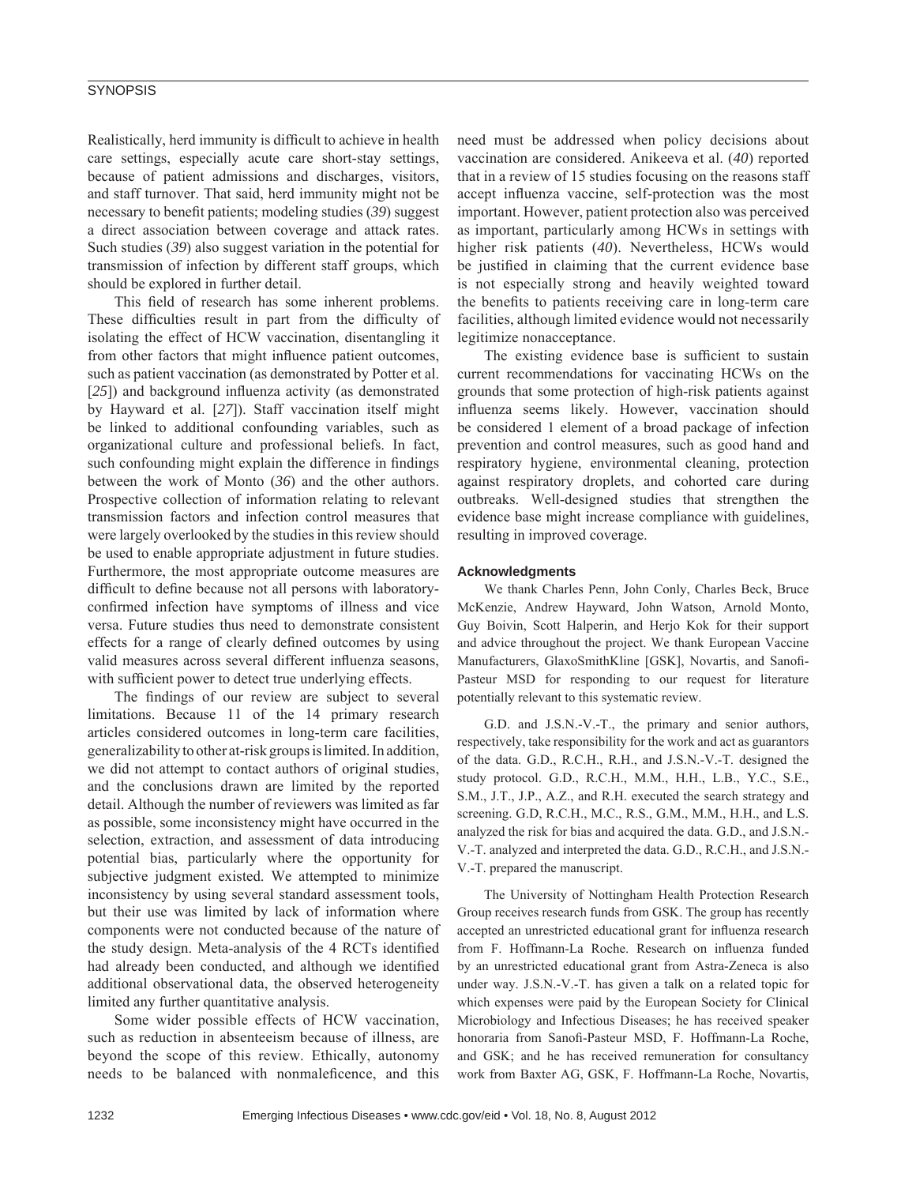Realistically, herd immunity is difficult to achieve in health care settings, especially acute care short-stay settings, because of patient admissions and discharges, visitors, and staff turnover. That said, herd immunity might not be necessary to benefit patients; modeling studies (39) suggest a direct association between coverage and attack rates. Such studies (*39*) also suggest variation in the potential for transmission of infection by different staff groups, which should be explored in further detail.

This field of research has some inherent problems. These difficulties result in part from the difficulty of isolating the effect of HCW vaccination, disentangling it from other factors that might influence patient outcomes, such as patient vaccination (as demonstrated by Potter et al. [25]) and background influenza activity (as demonstrated by Hayward et al. [*27*]). Staff vaccination itself might be linked to additional confounding variables, such as organizational culture and professional beliefs. In fact, such confounding might explain the difference in findings between the work of Monto (*36*) and the other authors. Prospective collection of information relating to relevant transmission factors and infection control measures that were largely overlooked by the studies in this review should be used to enable appropriate adjustment in future studies. Furthermore, the most appropriate outcome measures are difficult to define because not all persons with laboratoryconfirmed infection have symptoms of illness and vice versa. Future studies thus need to demonstrate consistent effects for a range of clearly defined outcomes by using valid measures across several different influenza seasons, with sufficient power to detect true underlying effects.

The findings of our review are subject to several limitations. Because 11 of the 14 primary research articles considered outcomes in long-term care facilities, generalizability to other at-risk groups is limited. In addition, we did not attempt to contact authors of original studies, and the conclusions drawn are limited by the reported detail. Although the number of reviewers was limited as far as possible, some inconsistency might have occurred in the selection, extraction, and assessment of data introducing potential bias, particularly where the opportunity for subjective judgment existed. We attempted to minimize inconsistency by using several standard assessment tools, but their use was limited by lack of information where components were not conducted because of the nature of the study design. Meta-analysis of the 4 RCTs identified had already been conducted, and although we identified additional observational data, the observed heterogeneity limited any further quantitative analysis.

Some wider possible effects of HCW vaccination, such as reduction in absenteeism because of illness, are beyond the scope of this review. Ethically, autonomy needs to be balanced with nonmaleficence, and this need must be addressed when policy decisions about vaccination are considered. Anikeeva et al. (*40*) reported that in a review of 15 studies focusing on the reasons staff accept influenza vaccine, self-protection was the most important. However, patient protection also was perceived as important, particularly among HCWs in settings with higher risk patients (*40*). Nevertheless, HCWs would be justified in claiming that the current evidence base is not especially strong and heavily weighted toward the benefits to patients receiving care in long-term care facilities, although limited evidence would not necessarily legitimize nonacceptance.

The existing evidence base is sufficient to sustain current recommendations for vaccinating HCWs on the grounds that some protection of high-risk patients against influenza seems likely. However, vaccination should be considered 1 element of a broad package of infection prevention and control measures, such as good hand and respiratory hygiene, environmental cleaning, protection against respiratory droplets, and cohorted care during outbreaks. Well-designed studies that strengthen the evidence base might increase compliance with guidelines, resulting in improved coverage.

#### **Acknowledgments**

We thank Charles Penn, John Conly, Charles Beck, Bruce McKenzie, Andrew Hayward, John Watson, Arnold Monto, Guy Boivin, Scott Halperin, and Herjo Kok for their support and advice throughout the project. We thank European Vaccine Manufacturers, GlaxoSmithKline [GSK], Novartis, and Sanofi-Pasteur MSD for responding to our request for literature potentially relevant to this systematic review.

G.D. and J.S.N.-V.-T., the primary and senior authors, respectively, take responsibility for the work and act as guarantors of the data. G.D., R.C.H., R.H., and J.S.N.-V.-T. designed the study protocol. G.D., R.C.H., M.M., H.H., L.B., Y.C., S.E., S.M., J.T., J.P., A.Z., and R.H. executed the search strategy and screening. G.D, R.C.H., M.C., R.S., G.M., M.M., H.H., and L.S. analyzed the risk for bias and acquired the data. G.D., and J.S.N.- V.-T. analyzed and interpreted the data. G.D., R.C.H., and J.S.N.- V.-T. prepared the manuscript.

The University of Nottingham Health Protection Research Group receives research funds from GSK. The group has recently accepted an unrestricted educational grant for influenza research from F. Hoffmann-La Roche. Research on influenza funded by an unrestricted educational grant from Astra-Zeneca is also under way. J.S.N.-V.-T. has given a talk on a related topic for which expenses were paid by the European Society for Clinical Microbiology and Infectious Diseases; he has received speaker honoraria from Sanofi -Pasteur MSD, F. Hoffmann-La Roche, and GSK; and he has received remuneration for consultancy work from Baxter AG, GSK, F. Hoffmann-La Roche, Novartis,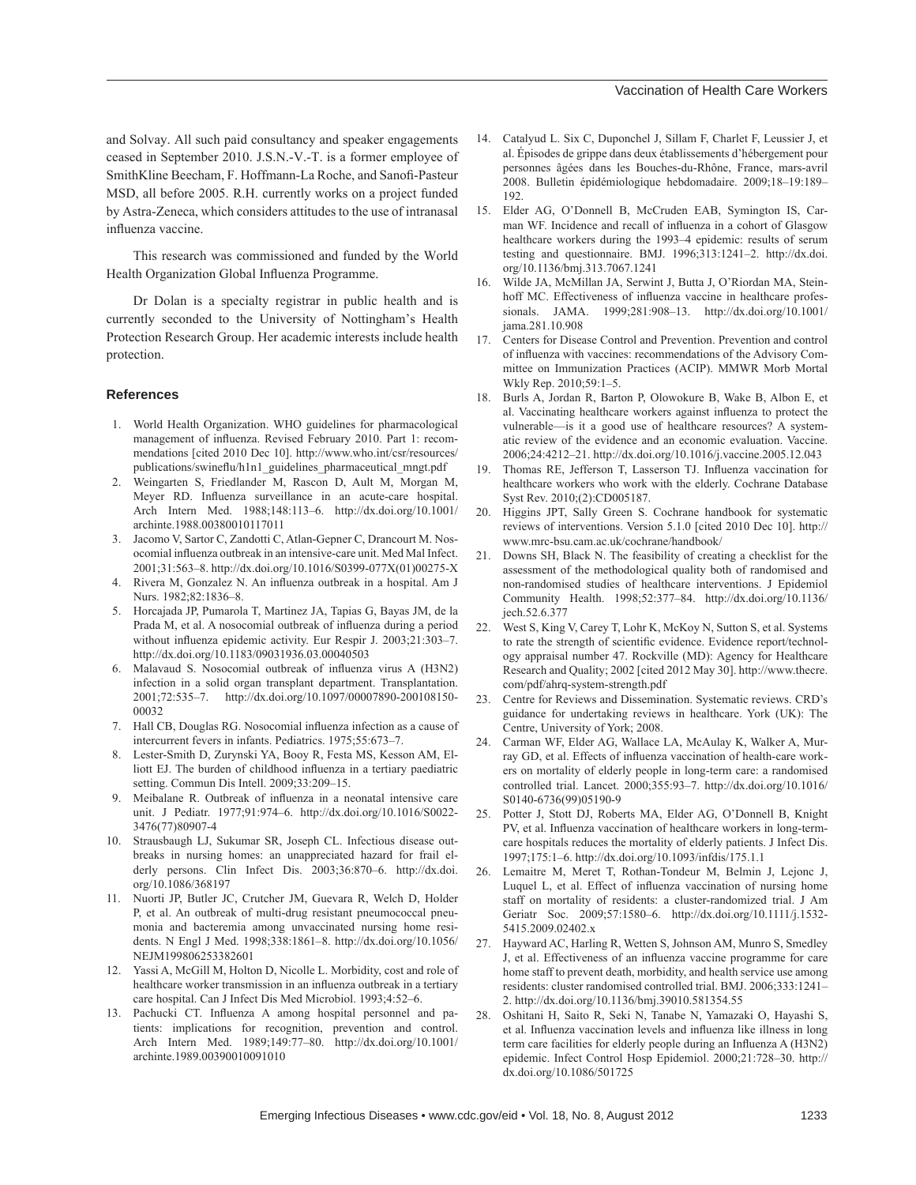and Solvay. All such paid consultancy and speaker engagements ceased in September 2010. J.S.N.-V.-T. is a former employee of SmithKline Beecham, F. Hoffmann-La Roche, and Sanofi -Pasteur MSD, all before 2005. R.H. currently works on a project funded by Astra-Zeneca, which considers attitudes to the use of intranasal influenza vaccine.

This research was commissioned and funded by the World Health Organization Global Influenza Programme.

Dr Dolan is a specialty registrar in public health and is currently seconded to the University of Nottingham's Health Protection Research Group. Her academic interests include health protection.

#### **References**

- 1. World Health Organization. WHO guidelines for pharmacological management of influenza. Revised February 2010. Part 1: recommendations [cited 2010 Dec 10]. http://www.who.int/csr/resources/ publications/swineflu/h1n1\_guidelines\_pharmaceutical\_mngt.pdf
- 2. Weingarten S, Friedlander M, Rascon D, Ault M, Morgan M, Meyer RD. Influenza surveillance in an acute-care hospital. Arch Intern Med. 1988;148:113–6. http://dx.doi.org/10.1001/ archinte.1988.00380010117011
- 3. Jacomo V, Sartor C, Zandotti C, Atlan-Gepner C, Drancourt M. Nosocomial influenza outbreak in an intensive-care unit. Med Mal Infect. 2001;31:563–8. http://dx.doi.org/10.1016/S0399-077X(01)00275-X
- 4. Rivera M, Gonzalez N. An influenza outbreak in a hospital. Am J Nurs. 1982;82:1836–8.
- 5. Horcajada JP, Pumarola T, Martinez JA, Tapias G, Bayas JM, de la Prada M, et al. A nosocomial outbreak of influenza during a period without influenza epidemic activity. Eur Respir J. 2003;21:303-7. http://dx.doi.org/10.1183/09031936.03.00040503
- 6. Malavaud S. Nosocomial outbreak of influenza virus A (H3N2) infection in a solid organ transplant department. Transplantation. 2001;72:535–7. http://dx.doi.org/10.1097/00007890-200108150- 00032
- 7. Hall CB, Douglas RG. Nosocomial influenza infection as a cause of intercurrent fevers in infants. Pediatrics. 1975;55:673–7.
- 8. Lester-Smith D, Zurynski YA, Booy R, Festa MS, Kesson AM, Elliott EJ. The burden of childhood influenza in a tertiary paediatric setting. Commun Dis Intell. 2009;33:209–15.
- 9. Meibalane R. Outbreak of influenza in a neonatal intensive care unit. J Pediatr. 1977;91:974–6. http://dx.doi.org/10.1016/S0022- 3476(77)80907-4
- 10. Strausbaugh LJ, Sukumar SR, Joseph CL. Infectious disease outbreaks in nursing homes: an unappreciated hazard for frail elderly persons. Clin Infect Dis. 2003;36:870–6. http://dx.doi. org/10.1086/368197
- 11. Nuorti JP, Butler JC, Crutcher JM, Guevara R, Welch D, Holder P, et al. An outbreak of multi-drug resistant pneumococcal pneumonia and bacteremia among unvaccinated nursing home residents. N Engl J Med. 1998;338:1861–8. http://dx.doi.org/10.1056/ NEJM199806253382601
- 12. Yassi A, McGill M, Holton D, Nicolle L. Morbidity, cost and role of healthcare worker transmission in an influenza outbreak in a tertiary care hospital. Can J Infect Dis Med Microbiol. 1993;4:52–6.
- 13. Pachucki CT. Influenza A among hospital personnel and patients: implications for recognition, prevention and control. Arch Intern Med. 1989;149:77–80. http://dx.doi.org/10.1001/ archinte.1989.00390010091010
- 14. Catalyud L. Six C, Duponchel J, Sillam F, Charlet F, Leussier J, et al. Épisodes de grippe dans deux établissements d'hébergement pour personnes âgées dans les Bouches-du-Rhône, France, mars-avril 2008. Bulletin épidémiologique hebdomadaire. 2009;18–19:189– 192.
- 15. Elder AG, O'Donnell B, McCruden EAB, Symington IS, Carman WF. Incidence and recall of influenza in a cohort of Glasgow healthcare workers during the 1993–4 epidemic: results of serum testing and questionnaire. BMJ. 1996;313:1241–2. http://dx.doi. org/10.1136/bmj.313.7067.1241
- 16. Wilde JA, McMillan JA, Serwint J, Butta J, O'Riordan MA, Steinhoff MC. Effectiveness of influenza vaccine in healthcare professionals. JAMA. 1999;281:908–13. http://dx.doi.org/10.1001/ jama.281.10.908
- 17. Centers for Disease Control and Prevention. Prevention and control of influenza with vaccines: recommendations of the Advisory Committee on Immunization Practices (ACIP). MMWR Morb Mortal Wkly Rep. 2010;59:1–5.
- 18. Burls A, Jordan R, Barton P, Olowokure B, Wake B, Albon E, et al. Vaccinating healthcare workers against influenza to protect the vulnerable—is it a good use of healthcare resources? A systematic review of the evidence and an economic evaluation. Vaccine. 2006;24:4212–21. http://dx.doi.org/10.1016/j.vaccine.2005.12.043
- 19. Thomas RE, Jefferson T, Lasserson TJ. Influenza vaccination for healthcare workers who work with the elderly. Cochrane Database Syst Rev. 2010;(2):CD005187.
- 20. Higgins JPT, Sally Green S. Cochrane handbook for systematic reviews of interventions. Version 5.1.0 [cited 2010 Dec 10]. http:// www.mrc-bsu.cam.ac.uk/cochrane/handbook/
- 21. Downs SH, Black N. The feasibility of creating a checklist for the assessment of the methodological quality both of randomised and non-randomised studies of healthcare interventions. J Epidemiol Community Health. 1998;52:377–84. http://dx.doi.org/10.1136/ jech.52.6.377
- 22. West S, King V, Carey T, Lohr K, McKoy N, Sutton S, et al. Systems to rate the strength of scientific evidence. Evidence report/technology appraisal number 47. Rockville (MD): Agency for Healthcare Research and Quality; 2002 [cited 2012 May 30]. http://www.thecre. com/pdf/ahrq-system-strength.pdf
- 23. Centre for Reviews and Dissemination. Systematic reviews. CRD's guidance for undertaking reviews in healthcare. York (UK): The Centre, University of York; 2008.
- 24. Carman WF, Elder AG, Wallace LA, McAulay K, Walker A, Murray GD, et al. Effects of influenza vaccination of health-care workers on mortality of elderly people in long-term care: a randomised controlled trial. Lancet. 2000;355:93–7. http://dx.doi.org/10.1016/ S0140-6736(99)05190-9
- 25. Potter J, Stott DJ, Roberts MA, Elder AG, O'Donnell B, Knight PV, et al. Influenza vaccination of healthcare workers in long-termcare hospitals reduces the mortality of elderly patients. J Infect Dis. 1997;175:1–6. http://dx.doi.org/10.1093/infdis/175.1.1
- 26. Lemaitre M, Meret T, Rothan-Tondeur M, Belmin J, Lejonc J, Luquel L, et al. Effect of influenza vaccination of nursing home staff on mortality of residents: a cluster-randomized trial. J Am Geriatr Soc. 2009;57:1580–6. http://dx.doi.org/10.1111/j.1532- 5415.2009.02402.x
- 27. Hayward AC, Harling R, Wetten S, Johnson AM, Munro S, Smedley J, et al. Effectiveness of an influenza vaccine programme for care home staff to prevent death, morbidity, and health service use among residents: cluster randomised controlled trial. BMJ. 2006;333:1241– 2. http://dx.doi.org/10.1136/bmj.39010.581354.55
- 28. Oshitani H, Saito R, Seki N, Tanabe N, Yamazaki O, Hayashi S, et al. Influenza vaccination levels and influenza like illness in long term care facilities for elderly people during an Influenza A (H3N2) epidemic. Infect Control Hosp Epidemiol. 2000;21:728–30. http:// dx.doi.org/10.1086/501725